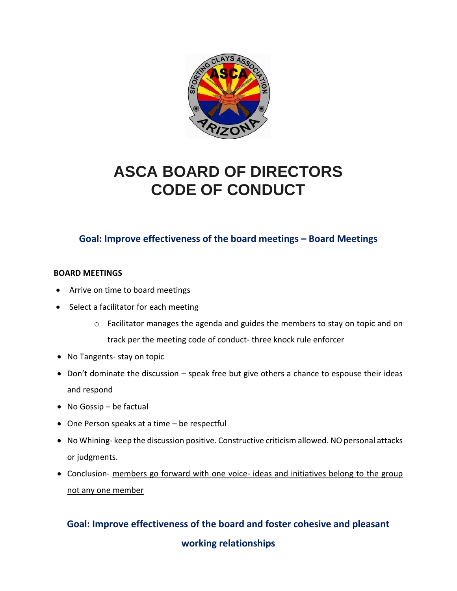

# **ASCA BOARD OF DIRECTORS CODE OF CONDUCT**

## **Goal: Improve effectiveness of the board meetings – Board Meetings**

#### **BOARD MEETINGS**

- Arrive on time to board meetings
- Select a facilitator for each meeting
	- $\circ$  Facilitator manages the agenda and guides the members to stay on topic and on track per the meeting code of conduct- three knock rule enforcer
- No Tangents- stay on topic
- Don't dominate the discussion speak free but give others a chance to espouse their ideas and respond
- No Gossip be factual
- One Person speaks at a time be respectful
- No Whining- keep the discussion positive. Constructive criticism allowed. NO personal attacks or judgments.
- Conclusion- members go forward with one voice- ideas and initiatives belong to the group not any one member

## **Goal: Improve effectiveness of the board and foster cohesive and pleasant**

**working relationships**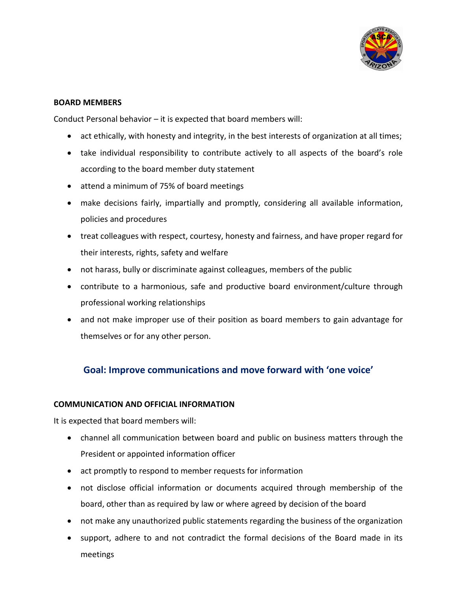

#### **BOARD MEMBERS**

Conduct Personal behavior – it is expected that board members will:

- act ethically, with honesty and integrity, in the best interests of organization at all times;
- take individual responsibility to contribute actively to all aspects of the board's role according to the board member duty statement
- attend a minimum of 75% of board meetings
- make decisions fairly, impartially and promptly, considering all available information, policies and procedures
- treat colleagues with respect, courtesy, honesty and fairness, and have proper regard for their interests, rights, safety and welfare
- not harass, bully or discriminate against colleagues, members of the public
- contribute to a harmonious, safe and productive board environment/culture through professional working relationships
- and not make improper use of their position as board members to gain advantage for themselves or for any other person.

## **Goal: Improve communications and move forward with 'one voice'**

#### **COMMUNICATION AND OFFICIAL INFORMATION**

It is expected that board members will:

- channel all communication between board and public on business matters through the President or appointed information officer
- act promptly to respond to member requests for information
- not disclose official information or documents acquired through membership of the board, other than as required by law or where agreed by decision of the board
- not make any unauthorized public statements regarding the business of the organization
- support, adhere to and not contradict the formal decisions of the Board made in its meetings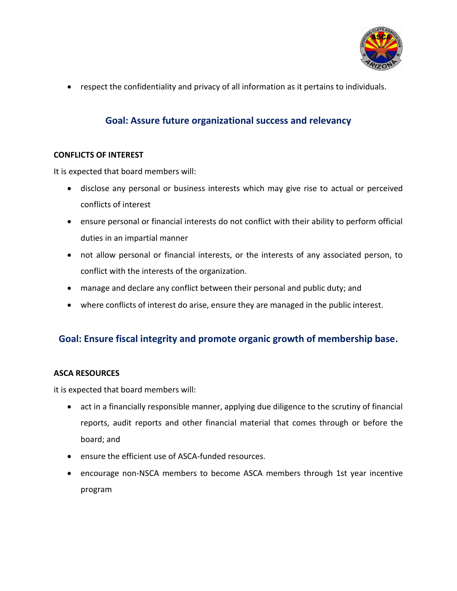

• respect the confidentiality and privacy of all information as it pertains to individuals.

## **Goal: Assure future organizational success and relevancy**

#### **CONFLICTS OF INTEREST**

It is expected that board members will:

- disclose any personal or business interests which may give rise to actual or perceived conflicts of interest
- ensure personal or financial interests do not conflict with their ability to perform official duties in an impartial manner
- not allow personal or financial interests, or the interests of any associated person, to conflict with the interests of the organization.
- manage and declare any conflict between their personal and public duty; and
- where conflicts of interest do arise, ensure they are managed in the public interest.

## **Goal: Ensure fiscal integrity and promote organic growth of membership base.**

#### **ASCA RESOURCES**

it is expected that board members will:

- act in a financially responsible manner, applying due diligence to the scrutiny of financial reports, audit reports and other financial material that comes through or before the board; and
- ensure the efficient use of ASCA-funded resources.
- encourage non-NSCA members to become ASCA members through 1st year incentive program